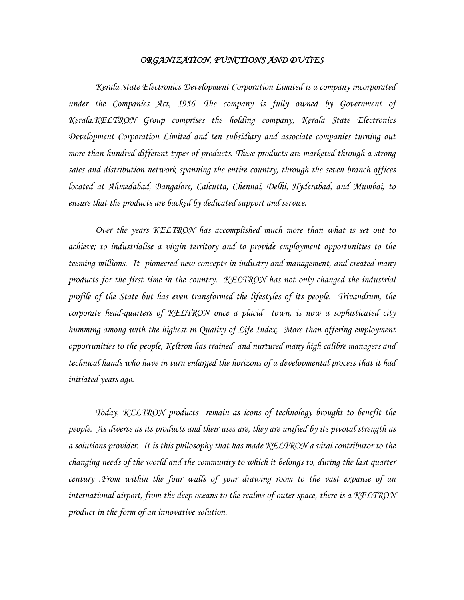## *ORGANIZATION, FUNCTIONS AND DUTIES*

*Kerala State Electronics Development Corporation Limited is a company incorporated under the Companies Act, 1956. The company is fully owned by Government of Kerala.KELTRON Group comprises the holding company, Kerala State Electronics Development Corporation Limited and ten subsidiary and associate companies turning out more than hundred different types of products. These products are marketed through a strong sales and distribution network spanning the entire country, through the seven branch offices located at Ahmedabad, Bangalore, Calcutta, Chennai, Delhi, Hyderabad, and Mumbai, to ensure that the products are backed by dedicated support and service.* 

*Over the years KELTRON has accomplished much more than what is set out to achieve; to industrialise a virgin territory and to provide employment opportunities to the teeming millions. It pioneered new concepts in industry and management, and created many products for the first time in the country. KELTRON has not only changed the industrial profile of the State but has even transformed the lifestyles of its people. Trivandrum, the corporate head-quarters of KELTRON once a placid town, is now a sophisticated city humming among with the highest in Quality of Life Index. More than offering employment opportunities to the people, Keltron has trained and nurtured many high calibre managers and technical hands who have in turn enlarged the horizons of a developmental process that it had initiated years ago.* 

*Today, KELTRON products remain as icons of technology brought to benefit the people. As diverse as its products and their uses are, they are unified by its pivotal strength as a solutions provider. It is this philosophy that has made KELTRON a vital contributor to the changing needs of the world and the community to which it belongs to, during the last quarter century .From within the four walls of your drawing room to the vast expanse of an international airport, from the deep oceans to the realms of outer space, there is a KELTRON product in the form of an innovative solution.*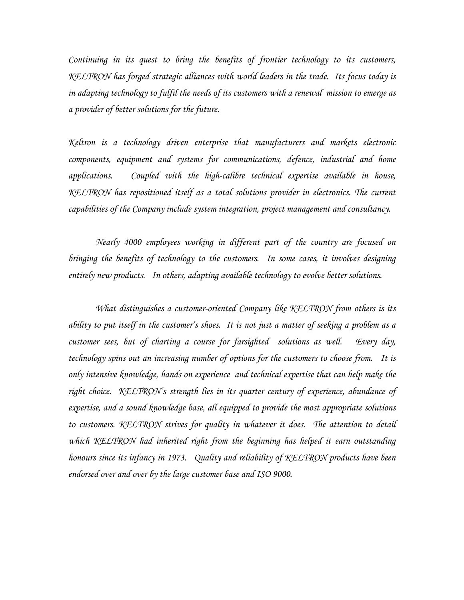*Continuing in its quest to bring the benefits of frontier technology to its customers, KELTRON has forged strategic alliances with world leaders in the trade. Its focus today is in adapting technology to fulfil the needs of its customers with a renewal mission to emerge as a provider of better solutions for the future.* 

*Keltron is a technology driven enterprise that manufacturers and markets electronic components, equipment and systems for communications, defence, industrial and home applications. Coupled with the high-calibre technical expertise available in house, KELTRON has repositioned itself as a total solutions provider in electronics. The current capabilities of the Company include system integration, project management and consultancy.* 

*Nearly 4000 employees working in different part of the country are focused on bringing the benefits of technology to the customers. In some cases, it involves designing entirely new products. In others, adapting available technology to evolve better solutions.* 

*What distinguishes a customer-oriented Company like KELTRON from others is its ability to put itself in the customer's shoes. It is not just a matter of seeking a problem as a customer sees, but of charting a course for farsighted solutions as well. Every day, technology spins out an increasing number of options for the customers to choose from. It is only intensive knowledge, hands on experience and technical expertise that can help make the right choice. KELTRON's strength lies in its quarter century of experience, abundance of expertise, and a sound knowledge base, all equipped to provide the most appropriate solutions to customers. KELTRON strives for quality in whatever it does. The attention to detail which KELTRON had inherited right from the beginning has helped it earn outstanding honours since its infancy in 1973. Quality and reliability of KELTRON products have been endorsed over and over by the large customer base and ISO 9000.*